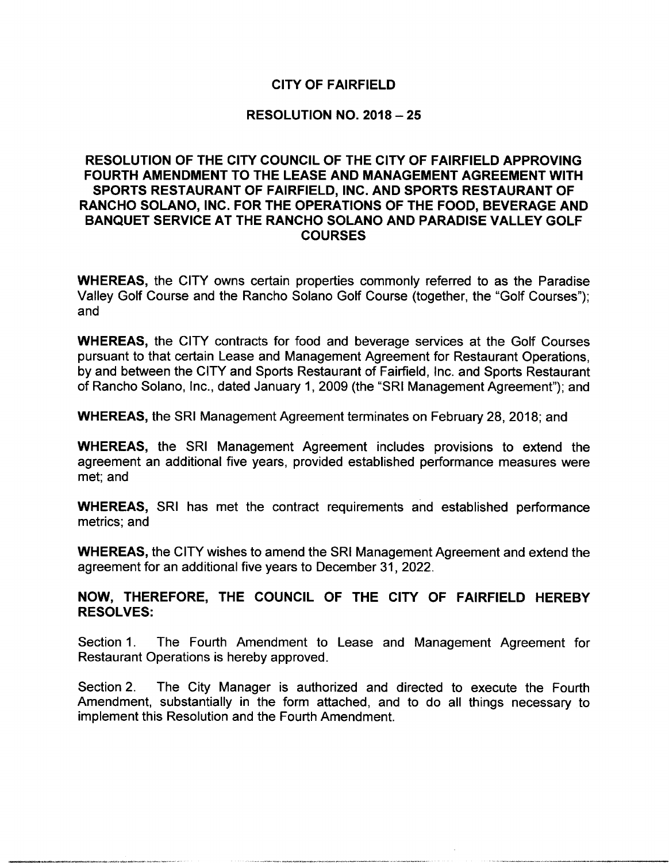# CITY OF FAIRFIELD

# RESOLUTION NO. 2018 — 25

# RESOLUTION OF THE CITY COUNCIL OF THE CITY OF FAIRFIELD APPROVING FOURTH AMENDMENT TO THE LEASE AND MANAGEMENT AGREEMENT WITH SPORTS RESTAURANT OF FAIRFIELD, INC. AND SPORTS RESTAURANT OF RANCHO SOLANO, INC. FOR THE OPERATIONS OF THE FOOD, BEVERAGE AND BANQUET SERVICE AT THE RANCHO SOLANO AND PARADISE VALLEY GOLF **COURSES**

WHEREAS, the CITY owns certain properties commonly referred to as the Paradise Valley Golf Course and the Rancho Solano Golf Course ( together, the "Golf Courses"); and

WHEREAS, the CITY contracts for food and beverage services at the Golf Courses pursuant to that certain Lease and Management Agreement for Restaurant Operations, by and between the CITY and Sports Restaurant of Fairfield, Inc. and Sports Restaurant of Rancho Solano, Inc., dated January 1, 2009 (the "SRI Management Agreement"); and

WHEREAS, the SRI Management Agreement terminates on February 28, 2018; and

WHEREAS, the SRI Management Agreement includes provisions to extend the agreement an additional five years, provided established performance measures were met; and

WHEREAS, SRI has met the contract requirements and established performance metrics; and

WHEREAS, the CITY wishes to amend the SRI Management Agreement and extend the agreement for an additional five years to December 31, 2022.

# NOW, THEREFORE, THE COUNCIL OF THE CITY OF FAIRFIELD HEREBY RESOLVES:

Section 1. The Fourth Amendment to Lease and Management Agreement for Restaurant Operations is hereby approved.

Section 2. The City Manager is authorized and directed to execute the Fourth Amendment, substantially in the form attached, and to do all things necessary to implement this Resolution and the Fourth Amendment.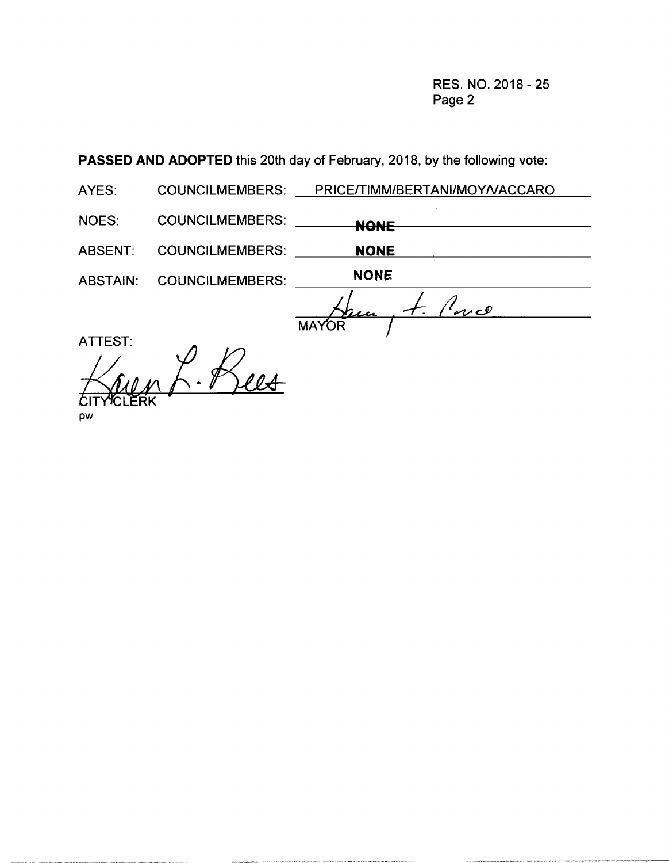RES. NO. 2018 - 25 Page 2

PASSED AND ADOPTED this 20th day of February, 2018, by the following vote:

AYES: COUNCILMEMBERS: PRICE/TIMM/BERTANI/MOY/VACCARO

NOES: COUNCILMEMBERS: NONE

ABSENT: COUNCILMEMBERS: NONE

ABSTAIN: COUNCILMEMBERS: NONE

 $\frac{1}{2}$  and  $\overline{\phantom{a}}$ **MAYOR** 

ATTEST: Lees ITYYCLERK pw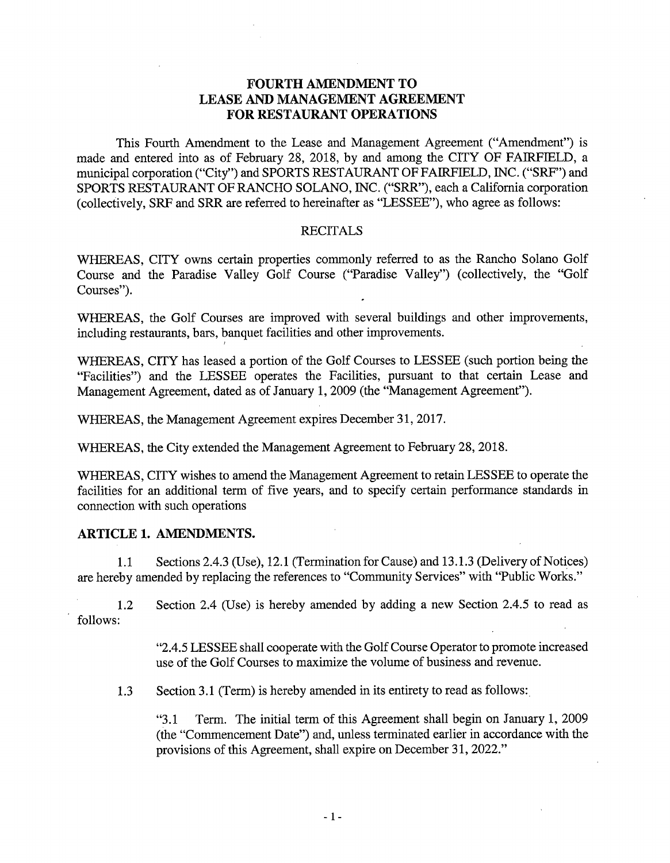# FOURTH AMENDMENT TO LEASE AND MANAGEMENT AGREEMENT FOR RESTAURANT OPERATIONS

This Fourth Amendment to the Lease and Management Agreement (" Amendment") is made and entered into as of February 28, 2018, by and among the CITY OF FAIRFIELD, a municipal corporation ("City") and SPORTS RESTAURANT OF FAIRFIELD, INC. ("SRF") and SPORTS RESTAURANT OF RANCHO SOLANO, INC. ("SRR"), each <sup>a</sup> California corporation collectively, SRF and SRR are referred to hereinafter as " LESSEE"), who agree as follows:

## **RECITALS**

WHEREAS, CITY owns certain properties commonly referred to as the Rancho Solano Golf Course and the Paradise Valley Golf Course ("Paradise Valley") (collectively, the "Golf Courses").

WHEREAS, the Golf Courses are improved with several buildings and other improvements, including restaurants, bars, banquet facilities and other improvements.

WHEREAS, CITY has leased <sup>a</sup> portion of the Golf Courses to LESSEE ( such portion being the Facilities") and the LESSEE operates the Facilities, pursuant to that certain Lease and Management Agreement, dated as of January 1, 2009 (the" Management Agreement").

WHEREAS, the Management Agreement expires December 31, 2017.

WHEREAS, the City extended the Management Agreement to February 28, 2018.

WHEREAS, CITY wishes to amend the Management Agreement to retain LESSEE to operate the facilities for an additional term of five years, and to specify certain performance standards in connection with such operations

# ARTICLE 1. AMENDMENTS.

1.1 Sections 2.4.3 (Use), 12.1 (Termination for Cause) and 13.1.3 (Delivery of Notices) are hereby amended by replacing the references to "Community Services" with "Public Works."

1.2 Section 2.4 (Use) is hereby amended by adding a new Section 2.4.5 to read as follows:

> 2.4.5 LESSEE shall cooperate with the Golf Course Operator to promote increased use of the Golf Courses to maximize the volume of business and revenue.

1.3 Section 3.1 (Term) is hereby amended in its entirety to read as follows:

"3.1 Term. The initial term of this Agreement shall begin on January 1, 2009 the" Commencement Date") and, unless terminated earlier in accordance with the provisions of this Agreement, shall expire on December 31, 2022."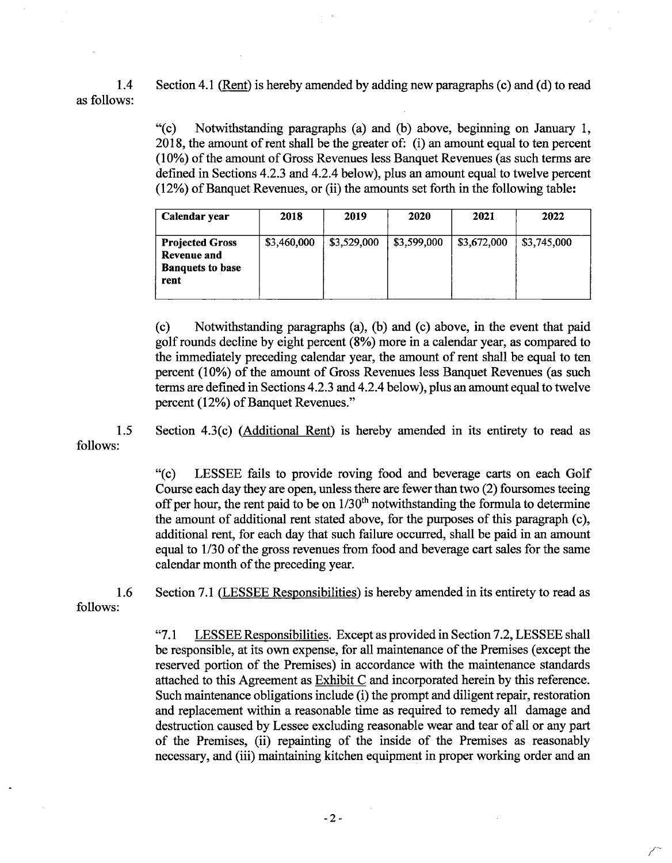1.4 Section 4.1 (Rent) is hereby amended by adding new paragraphs (c) and (d) to read as follows:

> "(c) Notwithstanding paragraphs (a) and (b) above, beginning on January 1, 2018, the amount ofrent sha11 be the greater of: (i) an amount equal to ten percent (10%) of the amount of Gross Revenues less Banquet Revenues (as such terms are defined in Sections 4.2.3 and 4.2.4 below), plus an amount equal to twelve percent  $(12%)$  of Banquet Revenues, or  $(ii)$  the amounts set forth in the following table:

| Calendar year                                                            | 2018        | 2019        | 2020        | 2021        | 2022        |
|--------------------------------------------------------------------------|-------------|-------------|-------------|-------------|-------------|
| <b>Projected Gross</b><br>Revenue and<br><b>Banquets to base</b><br>rent | \$3,460,000 | \$3,529,000 | \$3,599,000 | \$3,672,000 | \$3,745,000 |

(c) Notwithstanding paragraphs (a), (b) and (c) above, in the event that paid golf rounds decline by eight percent (8%) more in <sup>a</sup> calendar year, as compared to the immediately preceding calendar year, the amount of rent shall be equal to ten percent (10%) of the amount of Gross Revenues less Banquet Revenues (as such terms are defined in Sections 4.2. 3 and 4.2.4 below), plus an amount equal to twelve percent (12%) of Banquet Revenues."

1.5 Section 4.3(c) (Additional Rent) is hereby amended in its entirety to read as follows:

> c) LESSEE fails to provide roving food and beverage carts on each Golf Course each day they are open, unless there are fewer than two  $(2)$  foursomes teeing off per hour, the rent paid to be on  $1/30<sup>th</sup>$  notwithstanding the formula to determine the amount of additional rent stated above, for the purposes of this paragraph  $(c)$ , additional rent, for each day that such failure occurred, shall be paid in an amount equal to 1/30 of the gross revenues from food and beverage cart sales for the same calendar month of the preceding year.

follows:

1.6 Section 7.1 (LESSEE Responsibilities) is hereby amended in its entirety to read as

"7.1 LESSEE Responsibilities. Except as provided in Section 7.2, LESSEE shall be responsible, at its own expense, for all maintenance of the Premises (except the reserved portion of the Premises) in accordance with the maintenance standards attached to this Agreement as Exhibit C and incorporated herein by this reference. Such maintenance obligations include (i) the prompt and diligent repair, restoration and replacement within a reasonable time as required to remedy all damage and destruction caused by Lessee excluding reasonable wear and tear of all or any part of the Premises, ( ii) repainting of the inside of the Premises as reasonably necessary, and (iii) maintaining kitchen equipment in proper working order and an

f-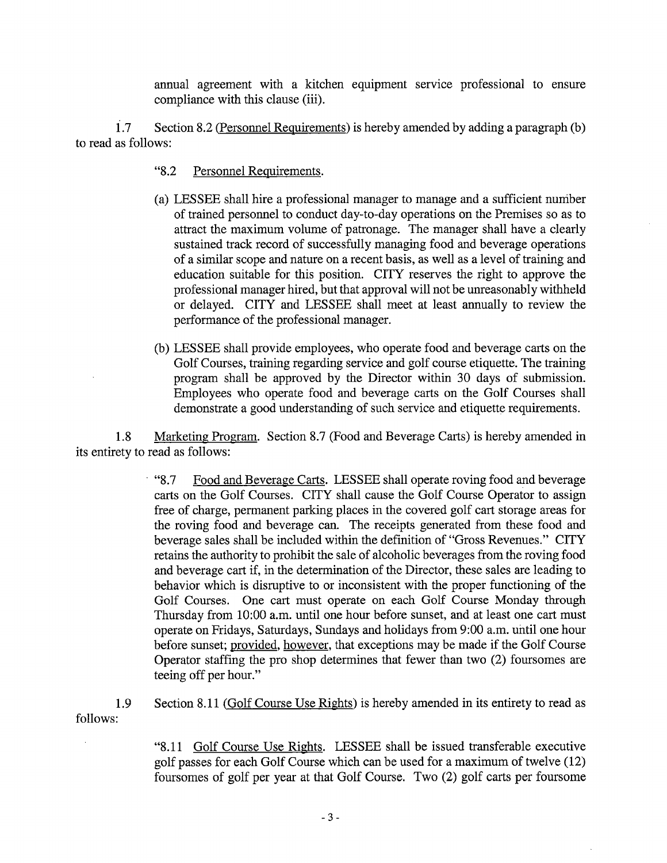annual agreement with a kitchen equipment service professional to ensure compliance with this clause (iii).

 $1.7$  Section 8.2 (Personnel Requirements) is hereby amended by adding a paragraph (b) to read as follows:

- "8.2 Personnel Requirements.
- a) LESSEE shall hire a professional manager to manage and a sufficient nurriber of trained personnel to conduct day-to-day operations on the Premises so as to attract the maximum volume of patronage. The manager shall have <sup>a</sup> clearly sustained track record of successfully managing food and beverage operations of <sup>a</sup> similar scope and nature on <sup>a</sup> recent basis, as well as a level of training and education suitable for this position. CITY reserves the right to approve the professional manager hired, but that approval will not be unreasonably withheld or delayed. CITY and LESSEE shall meet at least annually to review the performance of the professional manager.
- b) LESSEE shall provide employees, who operate food and beverage carts on the Golf Courses, training regarding service and golf course etiquette. The training program shall be approved by the Director within 30 days of submission. Employees who operate food and beverage carts on the Golf Courses shall demonstrate a good understanding of such service and etiquette requirements.

1.8 Marketing Program. Section 8.7 (Food and Beverage Carts) is hereby amended in its entirety to read as follows:

> <sup>8</sup> "8.7 Food and Beverage Carts. LESSEE shall operate roving food and beverage carts on the Golf Courses. CITY shall cause the Golf Course Operator to assign free of charge, permanent parking places in the covered golf cart storage areas for the roving food and beverage can. The receipts generated from these food and beverage sales shall be included within the definition of "Gross Revenues." CITY retains the authority to prohibit the sale of alcoholic beverages from the roving food and beverage cart if, in the determination of the Director, these sales are leading to behavior which is disruptive to or inconsistent with the proper functioning of the Golf Courses. One cart must operate on each Golf Course Monday through Thursday from 10:00 a.m. until one hour before sunset, and at least one cart must operate on Fridays, Saturdays, Sundays and holidays from 9:00 a.m. until one hour before sunset; provided, however, that exceptions may be made if the Golf Course Operator staffing the pro shop determines that fewer than two  $(2)$  foursomes are teeing off per hour."

1.9 Section 8.11 (Golf Course Use Rights) is hereby amended in its entirety to read as follows:

> 8. 11 Golf Course Use Rights. LESSEE shall be issued transferable executive golf passes for each Golf Course which can be used for <sup>a</sup> maximum of twelve( 12) foursomes of golf per year at that Golf Course. Two (2) golf carts per foursome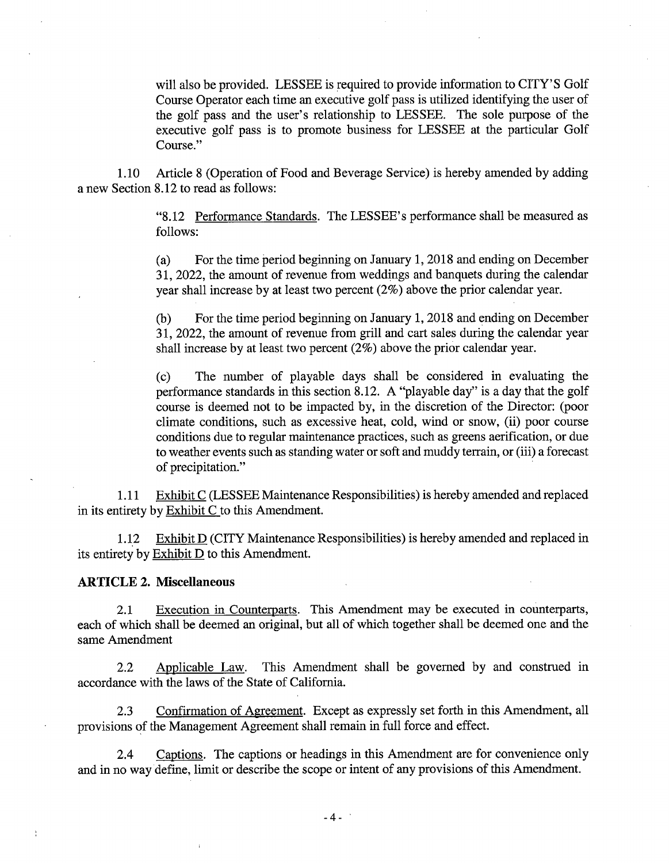will also be provided. LESSEE is required to provide information to CITY'S Golf Course Operator each time an executive golf pass is utilized identifying the user of the golf pass and the user's relationship to LESSEE. The sole purpose of the executive golf pass is to promote business for LESSEE at the particular Golf Course."

1. 10 Article 8 ( Operation of Food and Beverage Service) is hereby amended by adding a new Section 8. 12 to read as follows:

> 8. 12 Performance Standards. The LESSEE' <sup>s</sup> performance shall be measured as follows:

> a) For the time period beginning on January 1, 2018 and ending on December 31, 2022, the amount of revenue from weddings and banquets during the calendar year shall increase by at least two percent  $(2\%)$  above the prior calendar year.

> b) For the time period beginning on January 1, 2018 and ending on December 31, 2022, the amount of revenue from grill and cart sales during the calendar year shall increase by at least two percent  $(2\%)$  above the prior calendar year.

> c) The number of playable days shall be considered in evaluating the performance standards in this section 8. 12. A "playable day" is <sup>a</sup> day that the golf course is deemed not to be impacted by, in the discretion of the Director: (poor climate conditions, such as excessive heat, cold, wind or snow, (ii) poor course conditions due to regular maintenance practices, such as greens aerification, or due to weather events such as standing water or soft and muddy terrain, or( iii) <sup>a</sup> forecast of precipitation."

1. 11 Exhibit C( LESSEE Maintenance Responsibilities) is hereby amended and replaced in its entirety by Exhibit C to this Amendment.

1.12 Exhibit D (CITY Maintenance Responsibilities) is hereby amended and replaced in its entirety by Exhibit D to this Amendment.

#### ARTICLE 2. Miscellaneous

2.1 Execution in Counterparts. This Amendment may be executed in counterparts, each of which shall be deemed an original, but all of which together shall be deemed one and the same Amendment

2.2 Applicable Law. This Amendment shall be governed by and construed in accordance with the laws of the State of California.

2.3 Confirmation of Agreement. Except as expressly set forth in this Amendment, all provisions of the Management Agreement shall remain in full force and effect.

2.4 Captions. The captions or headings in this Amendment are for convenience only and in no way define, limit or describe the scope or intent of any provisions of this Amendment.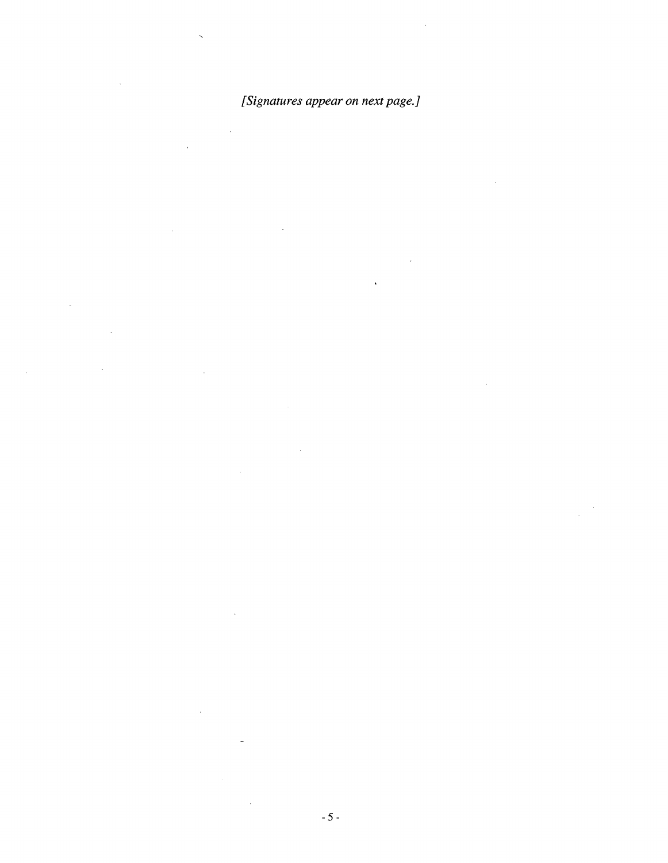# [Signatures appear on next page.]

 $\sim$   $\sim$  $\bar{\mathcal{A}}$ 

 $\bar{\beta}$  $\mathbb{R}$ 

l,

 $\bar{\mathcal{A}}$ 

 $\bar{z}$  $\sim$ 

 $\hat{\lambda}$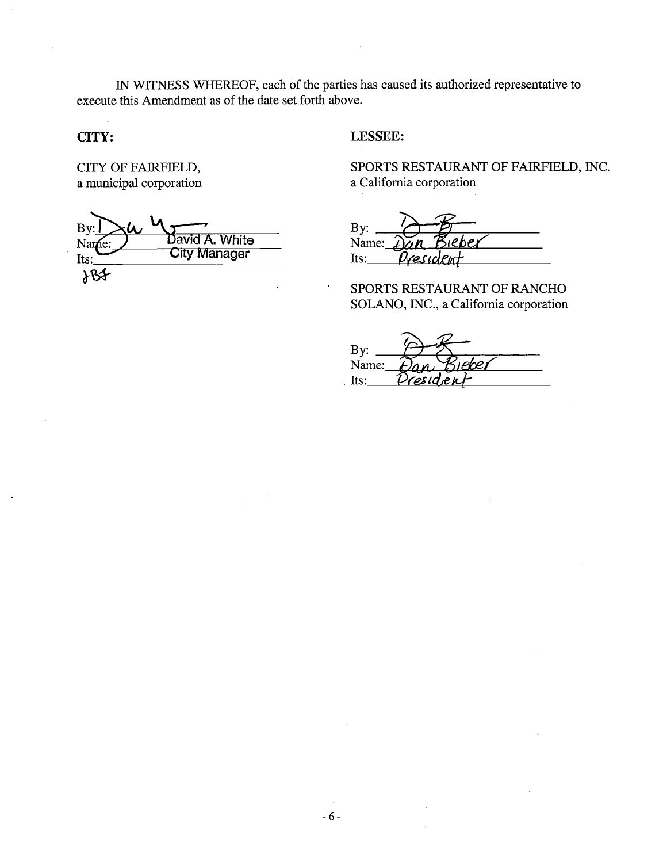IN WITNESS WHEREOF, each of the parties has caused its authorized representative to execute this Amendment as of the date set forth above.

# CITY:

CITY OF FAIRFIELD, a municipal corporation

| Bv:   |                     |
|-------|---------------------|
| Name: | David A. White      |
| Its:  | <b>City Manager</b> |
|       |                     |

# LESSEE:

SPORTS RESTAURANT OF FAIRFIELD, INC. a California corporation

By: Name: President  $Its:$ 

SPORTS RESTAURANT OF RANCHO SOLANO, INC., a California corporation

 $By:$ Name:  $Its:$  $221$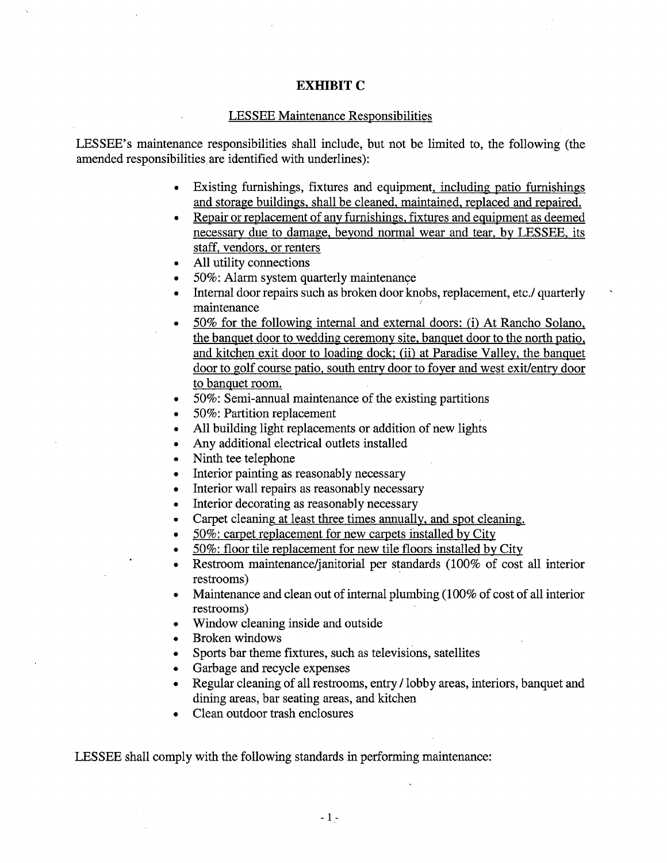# EXHIBIT C

#### LESSEE Maintenance Responsibilities

LESSEE's maintenance responsibilities shall include, but not be limited to, the following (the amended responsibilities are identified with underlines):

- Existing furnishings, fixtures and equipment, including patio furnishings  $\bullet$  . and storage buildings, shall be cleaned, maintained, replaced and repaired.
- Repair or replacement of any furnishings, fixtures and equipment as deemed  $\bullet$ necessary due to damage, beyond normal wear and tear, by LESSEE, its staff, vendors, or renters
- All utility connections  $\bullet$
- 50%: Alarm system quarterly maintenance  $\bullet$
- Internal door repairs such as broken door knobs, replacement, etc./ quarterly  $\bullet$ maintenance
- 50% for the following internal and external doors: (i) At Rancho Solano,  $\bullet$ the banquet door to wedding ceremony site, banquet door to the north patio, and kitchen exit door to loading dock; (ii) at Paradise Valley, the banquet door to golf course patio, south entry door to foyer and west exit/entry door to banquet room.
- 50%: Semi-annual maintenance of the existing partitions  $\bullet$
- 50%: Partition replacement  $\bullet$
- All building light replacements or addition of new lights
- Any additional electrical outlets installed  $\bullet$
- Ninth tee telephone  $\bullet$
- Interior painting as reasonably necessary  $\bullet$
- Interior wall repairs as reasonably necessary  $\bullet$
- Interior decorating as reasonably necessary  $\bullet$
- Carpet cleaning at least three times annually, and spot cleaning.  $\bullet$
- 50%: carpet replacement for new carpets installed by City  $\bullet$
- 50%: floor tile replacement for new tile floors installed by City  $\bullet$
- Restroom maintenance/janitorial per standards (100% of cost all interior  $\bullet$ restrooms)
- Maintenance and clean out of internal plumbing( 100% of cost of all interior  $\bullet$ restrooms)
- Window cleaning inside and outside  $\bullet$
- Broken windows  $\bullet$
- Sports bar theme fixtures, such as televisions, satellites  $\bullet$
- Garbage and recycle expenses  $\bullet$
- Regular cleaning of all restrooms, entry/ lobby areas, interiors, banquet and  $\bullet$ dining areas, bar seating areas, and kitchen
- Clean outdoor trash enclosures

LESSEE shall comply with the following standards in performing maintenance: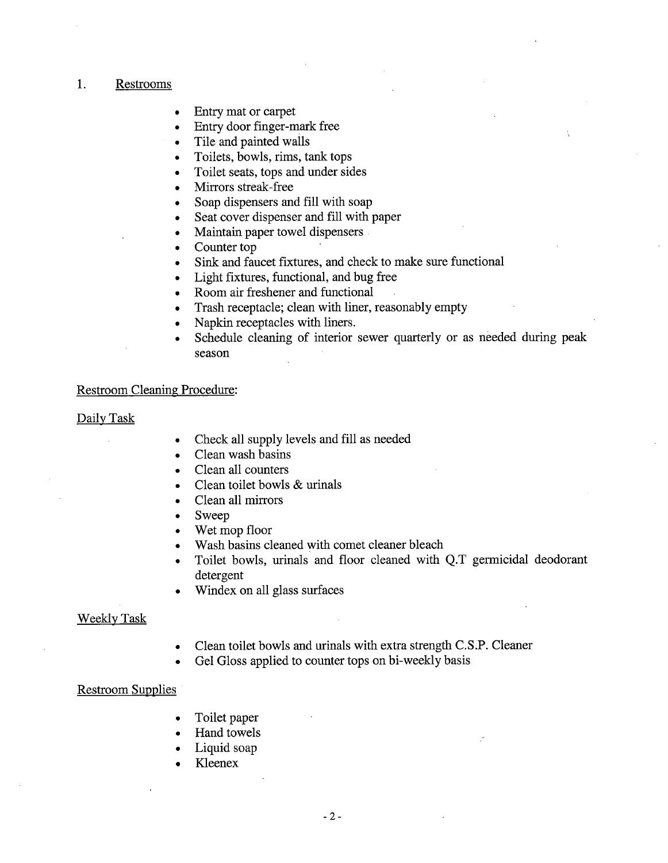# 1. Restrooms

- Entry mat or carpet
- Entry door finger-mark free  $\bullet$
- Tile and painted walls  $\bullet$
- Toilets, bowls, rims, tank tops
- Toilet seats, tops and under sides
- Mirrors streak-free  $\bullet$
- Soap dispensers and fill with soap  $\bullet$
- Seat cover dispenser and fill with paper  $\bullet$
- Maintain paper towel dispensers  $\bullet$
- Counter top  $\bullet$
- Sink and faucet fixtures, and check to make sure functional  $\bullet$
- Light fixtures, functional, and bug free  $\bullet$
- Room air freshener and functional  $\bullet$
- Trash receptacle; clean with liner, reasonably empty  $\bullet$
- Napkin receptacles with liners.  $\bullet$
- Schedule cleaning of interior sewer quarterly or as needed during peak  $\bullet$ season

## Restroom Cleaning Procedure:

#### Daily Task

- Check all supply levels and fill as needed
- Clean wash basins  $\bullet$
- Clean all counters
- Clean toilet bowls & urinals  $\bullet$
- Clean all mirrors
- Sweep  $\bullet$
- Wet mop floor
- Wash basins cleaned with comet cleaner bleach  $\bullet$
- Toilet bowls, urinals and floor cleaned with Q.T germicidal deodorant  $\bullet$ detergent
- Windex on all glass surfaces

#### Weekly Task

- Clean toilet bowls and urinals with extra strength C.S.P. Cleaner  $\bullet$
- Gel Gloss applied to counter tops on bi-weekly basis

#### Restroom Supplies

- Toilet paper  $\bullet$
- Hand towels  $\bullet$
- Liquid soap
- Kleenex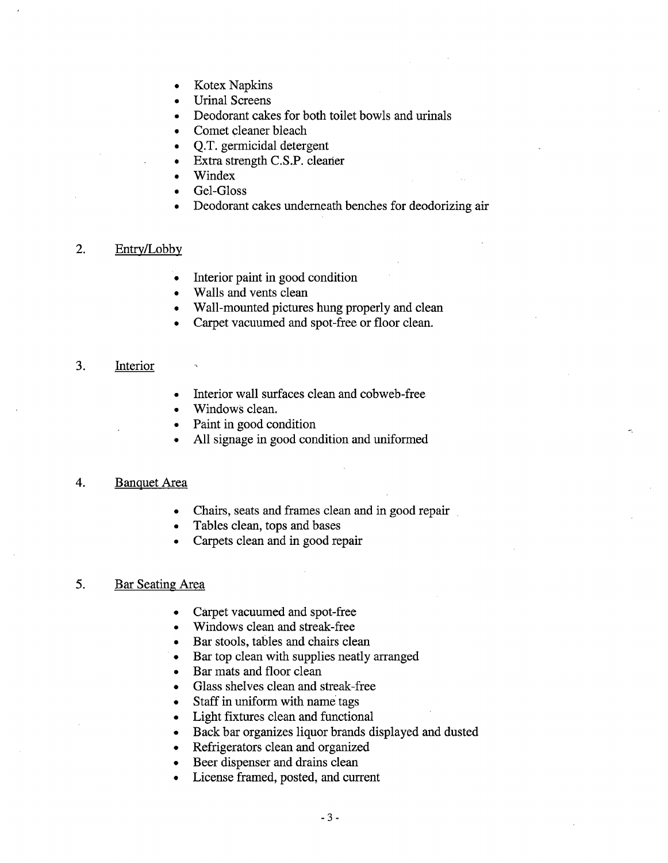- Kotex Napkins  $\bullet$
- Urinal Screens
- Deodorant cakes for both toilet bowls and urinals
- Comet cleaner bleach  $\bullet$
- Q.T. germicidal detergent  $\bullet$
- Extra strength C.S.P. cleaner
- Windex  $\bullet$
- Gel-Gloss
- Deodorant cakes underneath benches for deodorizing air  $\bullet$

## 2. Entry/Lobby

- Interior paint in good condition  $\bullet$
- Walls and vents clean  $\bullet$
- Wall-mounted pictures hung properly and clean  $\bullet$
- Carpet vacuumed and spot-free or floor clean.

# 3. Interior

- Interior wall surfaces clean and cobweb-free
- Windows clean.  $\bullet$
- Paint in good condition
- All signage in good condition and uniformed

## 4. Banquet Area

- Chairs, seats and frames clean and in good repair  $\bullet$
- Tables clean, tops and bases  $\bullet$
- Carpets clean and in good repair

# 5. Bar Seating Area

- Carpet vacuumed and spot-free  $\bullet$
- Windows clean and streak-free  $\bullet$
- Bar stools, tables and chairs clean  $\bullet$
- Bar top clean with supplies neatly arranged  $\bullet$
- Bar mats and floor clean  $\bullet$
- Glass shelves clean and streak-free  $\bullet$
- Staff in uniform with name tags  $\bullet$
- Light fixtures clean and functional  $\bullet$
- Back bar organizes liquor brands displayed and dusted  $\bullet$
- Refrigerators clean and organized  $\bullet$
- Beer dispenser and drains clean  $\bullet$
- License framed, posted, and current  $\bullet$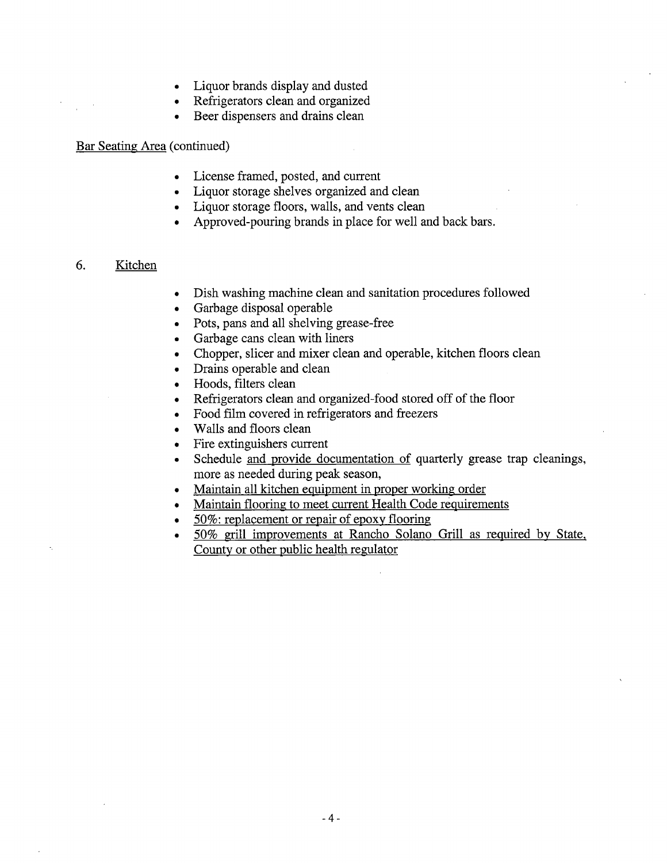- Liquor brands display and dusted  $\bullet$
- Refrigerators clean and organized
- Beer dispensers and drains clean

## Bar Seating Area (continued)

- License framed, posted, and current
- Liquor storage shelves organized and clean
- Liquor storage floors, walls, and vents clean
- Approved-pouring brands in place for well and back bars.

# 6. Kitchen

- Dish washing machine clean and sanitation procedures followed  $\bullet$
- Garbage disposal operable  $\bullet$
- Pots, pans and all shelving grease-free  $\bullet$
- Garbage cans clean with liners  $\bullet$
- Chopper, slicer and mixer clean and operable, kitchen floors clean  $\bullet$
- Drains operable and clean
- Hoods, filters clean  $\bullet$
- Refrigerators clean and organized-food stored off of the floor  $\bullet$
- Food film covered in refrigerators and freezers  $\bullet$
- Walls and floors clean  $\bullet$
- Fire extinguishers current  $\bullet$
- Liquor brands display und dustric<br>Relitigrations clean unit organized<br>Bert dispersions and draint elements<br>Licenco frame for the state organized and clean<br>Licenco Songs encieves expansion, and vearing a relief or state, an Schedule and provide documentation of quarterly grease trap cleanings,  $\bullet$ more as needed during peak season,
- Maintain all kitchen equipment in proper working order  $\bullet$
- Maintain flooring to meet current Health Code requirements
- $\bullet$
- 50%: replacement or repair of epoxy flooring<br>50% grill improvements at Rancho Solano Grill as required by State, County or other public health regulator